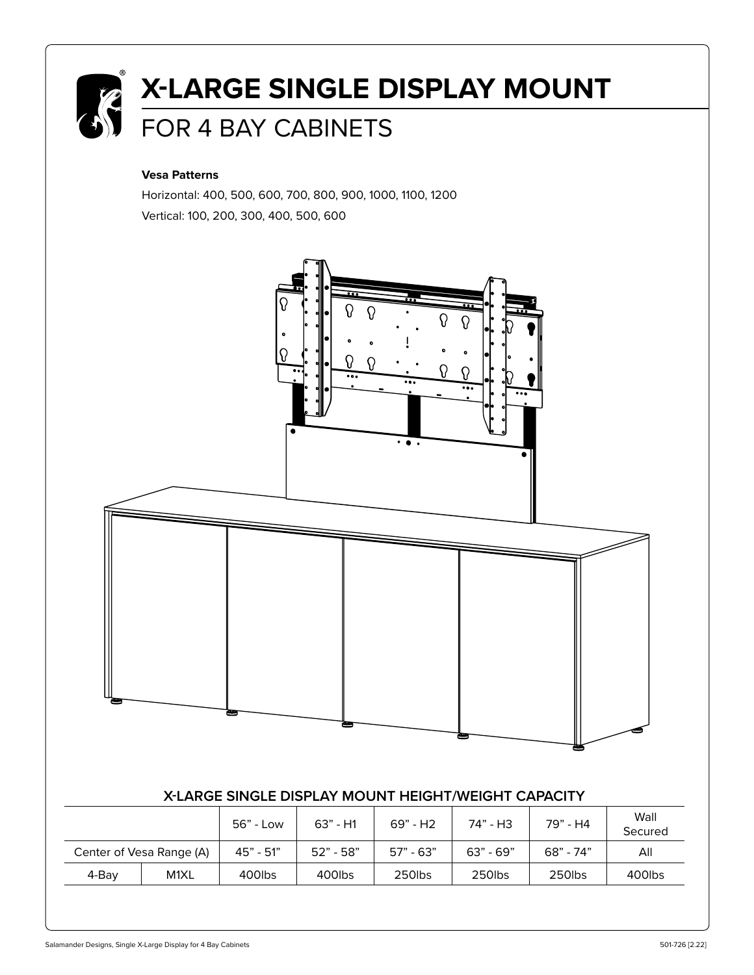

# **X-LARGE SINGLE DISPLAY MOUNT**  FOR 4 BAY CABINETS

#### **Vesa Patterns**

Horizontal: 400, 500, 600, 700, 800, 900, 1000, 1100, 1200 Vertical: 100, 200, 300, 400, 500, 600

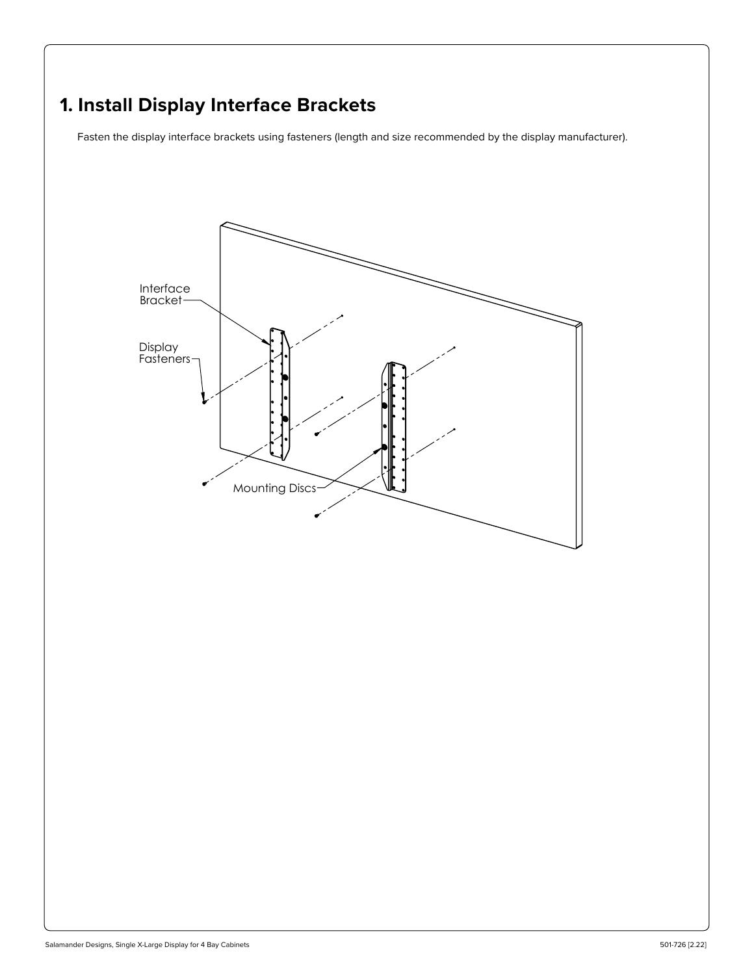## **1. Install Display Interface Brackets**

Fasten the display interface brackets using fasteners (length and size recommended by the display manufacturer).

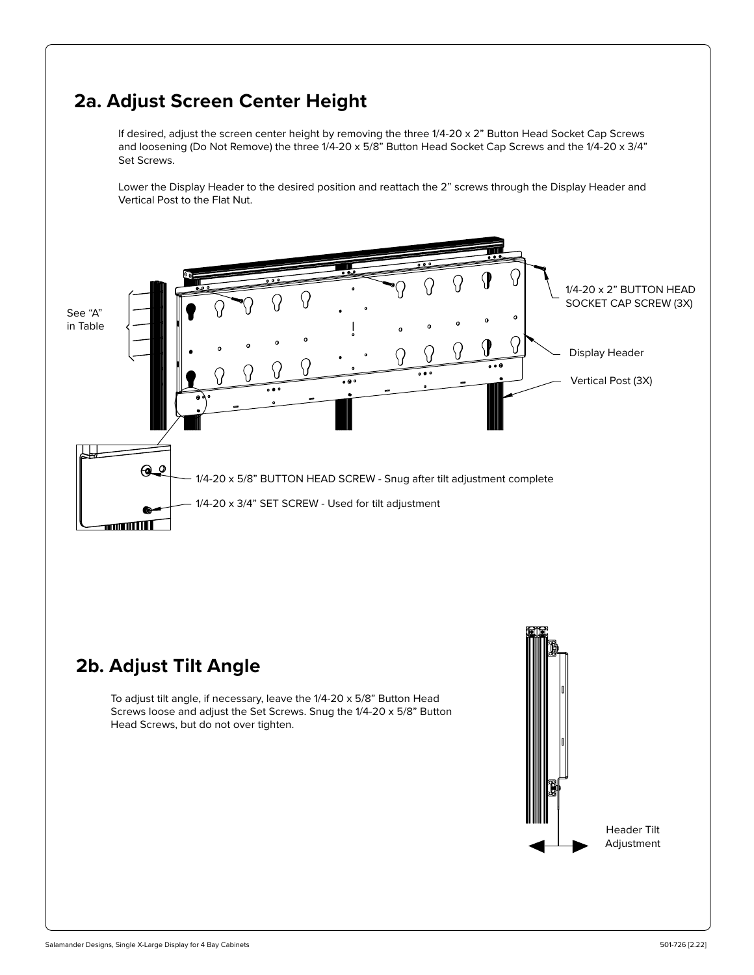